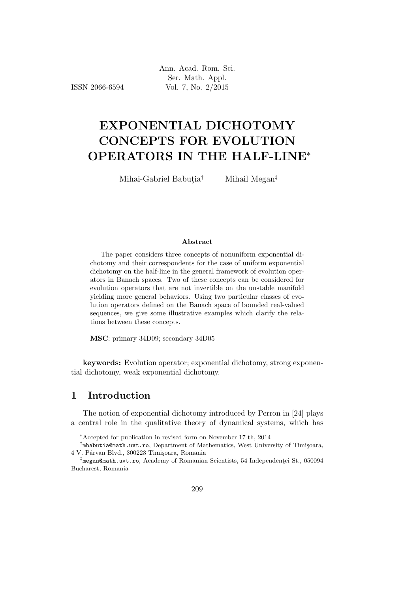ISSN 2066-6594

# EXPONENTIAL DICHOTOMY CONCEPTS FOR EVOLUTION OPERATORS IN THE HALF-LINE<sup>∗</sup>

Mihai-Gabriel Babutia<sup>†</sup> Mihail Megan<sup>‡</sup>

#### Abstract

The paper considers three concepts of nonuniform exponential dichotomy and their correspondents for the case of uniform exponential dichotomy on the half-line in the general framework of evolution operators in Banach spaces. Two of these concepts can be considered for evolution operators that are not invertible on the unstable manifold yielding more general behaviors. Using two particular classes of evolution operators defined on the Banach space of bounded real-valued sequences, we give some illustrative examples which clarify the relations between these concepts.

MSC: primary 34D09; secondary 34D05

keywords: Evolution operator; exponential dichotomy, strong exponential dichotomy, weak exponential dichotomy.

# 1 Introduction

The notion of exponential dichotomy introduced by Perron in [24] plays a central role in the qualitative theory of dynamical systems, which has

<sup>∗</sup>Accepted for publication in revised form on November 17-th, 2014

<sup>&</sup>lt;sup>†</sup>mbabutia@math.uvt.ro, Department of Mathematics, West University of Timişoara, 4 V. Pârvan Blvd., 300223 Timișoara, Romania

 $^{\ddagger}$ megan@math.uvt.ro, Academy of Romanian Scientists, 54 Independenței St., 050094 Bucharest, Romania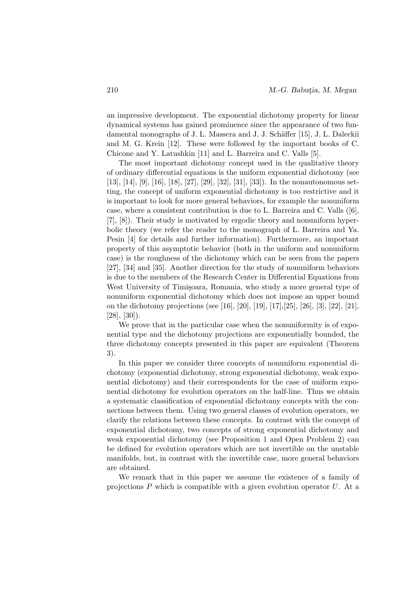an impressive development. The exponential dichotomy property for linear dynamical systems has gained prominence since the appearance of two fundamental monographs of J. L. Massera and J. J. Schäffer [15], J. L. Daleckii and M. G. Krein [12]. These were followed by the important books of C. Chicone and Y. Latushkin [11] and L. Barreira and C. Valls [5].

The most important dichotomy concept used in the qualitative theory of ordinary differential equations is the uniform exponential dichotomy (see [13], [14], [9], [16], [18], [27], [29], [32], [31], [33]). In the nonautonomous setting, the concept of uniform exponential dichotomy is too restrictive and it is important to look for more general behaviors, for example the nonuniform case, where a consistent contribution is due to L. Barreira and C. Valls ([6], [7], [8]). Their study is motivated by ergodic theory and nonuniform hyperbolic theory (we refer the reader to the monograph of L. Barreira and Ya. Pesin [4] for details and further information). Furthermore, an important property of this asymptotic behavior (both in the uniform and nonuniform case) is the roughness of the dichotomy which can be seen from the papers [27], [34] and [35]. Another direction for the study of nonuniform behaviors is due to the members of the Research Center in Differential Equations from West University of Timişoara, Romania, who study a more general type of nonuniform exponential dichotomy which does not impose an upper bound on the dichotomy projections (see [16], [20], [19], [17],[25], [26], [3], [22], [21], [28], [30]).

We prove that in the particular case when the nonuniformity is of exponential type and the dichotomy projections are exponentially bounded, the three dichotomy concepts presented in this paper are equivalent (Theorem 3).

In this paper we consider three concepts of nonuniform exponential dichotomy (exponential dichotomy, strong exponential dichotomy, weak exponential dichotomy) and their correspondents for the case of uniform exponential dichotomy for evolution operators on the half-line. Thus we obtain a systematic classification of exponential dichotomy concepts with the connections between them. Using two general classes of evolution operators, we clarify the relations between these concepts. In contrast with the concept of exponential dichotomy, two concepts of strong exponential dichotomy and weak exponential dichotomy (see Proposition 1 and Open Problem 2) can be defined for evolution operators which are not invertible on the unstable manifolds, but, in contrast with the invertible case, more general behaviors are obtained.

We remark that in this paper we assume the existence of a family of projections  $P$  which is compatible with a given evolution operator  $U$ . At a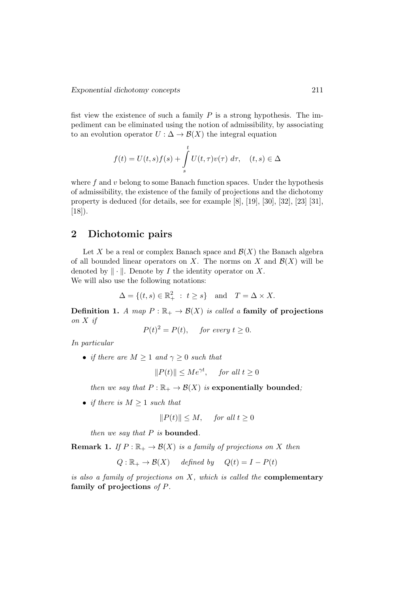fist view the existence of such a family  $P$  is a strong hypothesis. The impediment can be eliminated using the notion of admissibility, by associating to an evolution operator  $U : \Delta \to \mathcal{B}(X)$  the integral equation

$$
f(t) = U(t,s)f(s) + \int_{s}^{t} U(t,\tau)v(\tau) d\tau, \quad (t,s) \in \Delta
$$

where  $f$  and  $v$  belong to some Banach function spaces. Under the hypothesis of admissibility, the existence of the family of projections and the dichotomy property is deduced (for details, see for example [8], [19], [30], [32], [23] [31], [18]).

# 2 Dichotomic pairs

Let X be a real or complex Banach space and  $\mathcal{B}(X)$  the Banach algebra of all bounded linear operators on X. The norms on X and  $\mathcal{B}(X)$  will be denoted by  $\|\cdot\|$ . Denote by *I* the identity operator on *X*. We will also use the following notations:

$$
\Delta = \{(t, s) \in \mathbb{R}_+^2 : t \ge s\} \text{ and } T = \Delta \times X.
$$

**Definition 1.** A map  $P : \mathbb{R}_+ \to \mathcal{B}(X)$  is called a family of projections on X if

$$
P(t)^2 = P(t), \quad \text{for every } t \ge 0.
$$

In particular

• if there are  $M \geq 1$  and  $\gamma \geq 0$  such that

$$
||P(t)|| \le Me^{\gamma t}, \quad \text{for all } t \ge 0
$$

then we say that  $P : \mathbb{R}_+ \to \mathcal{B}(X)$  is exponentially bounded;

• if there is  $M \geq 1$  such that

$$
||P(t)|| \le M, \quad \text{for all } t \ge 0
$$

then we say that  $P$  is bounded.

**Remark 1.** If  $P : \mathbb{R}_+ \to \mathcal{B}(X)$  is a family of projections on X then

$$
Q: \mathbb{R}_+ \to \mathcal{B}(X)
$$
 defined by  $Q(t) = I - P(t)$ 

is also a family of projections on  $X$ , which is called the **complementary** family of projections of P.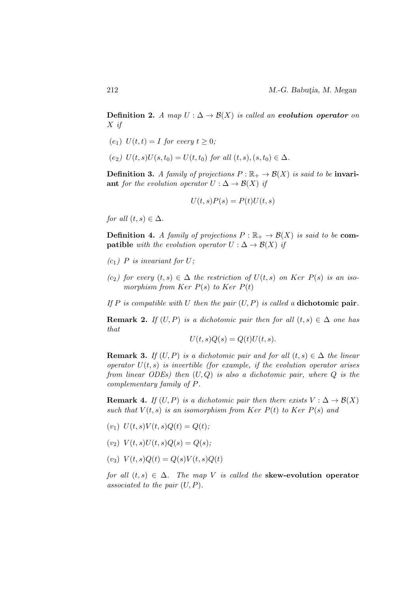Definition 2. A map  $U : \Delta \rightarrow \mathcal{B}(X)$  is called an evolution operator on X if

- $(e_1)$   $U(t,t) = I$  for every  $t \geq 0$ ;
- $(e_2) U(t, s)U(s, t_0) = U(t, t_0)$  for all  $(t, s), (s, t_0) \in \Delta$ .

**Definition 3.** A family of projections  $P : \mathbb{R}_+ \to \mathcal{B}(X)$  is said to be **invari**ant for the evolution operator  $U : \Delta \to \mathcal{B}(X)$  if

$$
U(t,s)P(s) = P(t)U(t,s)
$$

for all  $(t, s) \in \Delta$ .

**Definition 4.** A family of projections  $P : \mathbb{R}_+ \to \mathcal{B}(X)$  is said to be **compatible** with the evolution operator  $U : \Delta \to \mathcal{B}(X)$  if

- $(c_1)$  P is invariant for U;
- $(c_2)$  for every  $(t, s) \in \Delta$  the restriction of  $U(t, s)$  on Ker  $P(s)$  is an isomorphism from Ker  $P(s)$  to Ker  $P(t)$

If P is compatible with U then the pair  $(U, P)$  is called a **dichotomic pair**.

**Remark 2.** If  $(U, P)$  is a dichotomic pair then for all  $(t, s) \in \Delta$  one has that

$$
U(t,s)Q(s) = Q(t)U(t,s).
$$

**Remark 3.** If  $(U, P)$  is a dichotomic pair and for all  $(t, s) \in \Delta$  the linear operator  $U(t, s)$  is invertible (for example, if the evolution operator arises from linear ODEs) then  $(U,Q)$  is also a dichotomic pair, where  $Q$  is the complementary family of P.

**Remark 4.** If  $(U, P)$  is a dichotomic pair then there exists  $V : \Delta \to \mathcal{B}(X)$ such that  $V(t, s)$  is an isomorphism from Ker  $P(t)$  to Ker  $P(s)$  and

- $(v_1) U(t, s)V(t, s)Q(t) = Q(t);$
- $(v_2) V(t, s)U(t, s)Q(s) = Q(s);$
- $(v_3) V(t, s)Q(t) = Q(s)V(t, s)Q(t)$

for all  $(t, s) \in \Delta$ . The map V is called the **skew-evolution operator** associated to the pair  $(U, P)$ .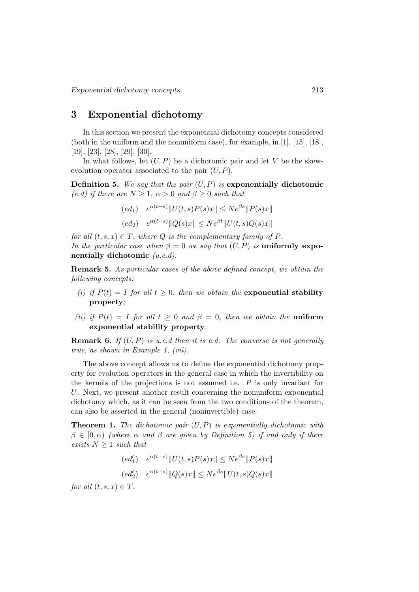# 3 Exponential dichotomy

In this section we present the exponential dichotomy concepts considered (both in the uniform and the nonuniform case), for example, in [1], [15], [18], [19], [23], [28], [29], [30].

In what follows, let  $(U, P)$  be a dichotomic pair and let V be the skewevolution operator associated to the pair  $(U, P)$ .

**Definition 5.** We say that the pair  $(U, P)$  is exponentially dichotomic (e.d) if there are  $N \geq 1$ ,  $\alpha > 0$  and  $\beta \geq 0$  such that

$$
(ed_1) \quad e^{\alpha(t-s)} \|U(t,s)P(s)x\| \le N e^{\beta s} \|P(s)x\|
$$
  

$$
(ed_2) \quad e^{\alpha(t-s)} \|Q(s)x\| \le N e^{\beta t} \|U(t,s)Q(s)x\|
$$

for all  $(t, s, x) \in T$ , where Q is the complementary family of P. In the particular case when  $\beta = 0$  we say that  $(U, P)$  is **uniformly expo**nentially dichotomic  $(u.e.d)$ .

Remark 5. As particular cases of the above defined concept, we obtain the following concepts:

- (i) if  $P(t) = I$  for all  $t \geq 0$ , then we obtain the exponential stability property;
- (ii) if  $P(t) = I$  for all  $t > 0$  and  $\beta = 0$ , then we obtain the **uniform** exponential stability property.

**Remark 6.** If  $(U, P)$  is u.e.d then it is e.d. The converse is not generally true, as shown in Example 1, (vii).

The above concept allows us to define the exponential dichotomy property for evolution operators in the general case in which the invertibility on the kernels of the projections is not assumed i.e.  $P$  is only invariant for U. Next, we present another result concerning the nonuniform exponential dichotomy which, as it can be seen from the two conditions of the theorem, can also be asserted in the general (noninvertible) case.

**Theorem 1.** The dichotomic pair  $(U, P)$  is exponentially dichotomic with  $\beta \in [0,\alpha)$  (where  $\alpha$  and  $\beta$  are given by Definition 5) if and only if there exists  $N \geq 1$  such that

$$
(ed'_{1}) \quad e^{\alpha(t-s)} \|U(t,s)P(s)x\| \le N e^{\beta s} \|P(s)x\|
$$
  

$$
(ed'_{2}) \quad e^{\alpha(t-s)} \|Q(s)x\| \le N e^{\beta s} \|U(t,s)Q(s)x\|
$$

for all  $(t, s, x) \in T$ .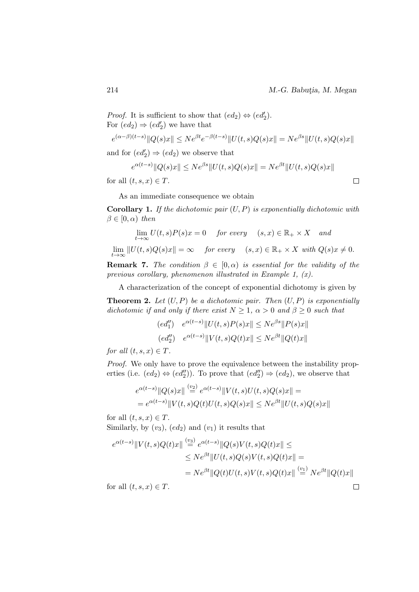*Proof.* It is sufficient to show that  $(ed_2) \Leftrightarrow (ed'_2)$ . For  $(ed_2) \Rightarrow (ed'_2)$  we have that  $e^{(\alpha-\beta)(t-s)}\|Q(s)x\| \leq Ne^{\beta t}e^{-\beta(t-s)}\|U(t,s)Q(s)x\| = Ne^{\beta s}\|U(t,s)Q(s)x\|$ and for  $(ed'_2) \Rightarrow (ed_2)$  we observe that  $e^{\alpha(t-s)} \|Q(s)x\| \leq Ne^{\beta s} \|U(t,s)Q(s)x\| = Ne^{\beta t} \|U(t,s)Q(s)x\|$ 

for all  $(t, s, x) \in T$ .

As an immediate consequence we obtain

**Corollary 1.** If the dichotomic pair  $(U, P)$  is exponentially dichotomic with  $\beta \in [0, \alpha)$  then

$$
\lim_{t \to \infty} U(t, s)P(s)x = 0 \quad \text{for every} \quad (s, x) \in \mathbb{R}_+ \times X \quad \text{and}
$$
\n
$$
\lim_{t \to \infty} ||U(t, s)Q(s)x|| = \infty \quad \text{for every} \quad (s, x) \in \mathbb{R}_+ \times X \text{ with } Q(s)x \neq 0.
$$

**Remark 7.** The condition  $\beta \in [0, \alpha)$  is essential for the validity of the previous corollary, phenomenon illustrated in Example 1,  $(x)$ .

A characterization of the concept of exponential dichotomy is given by

**Theorem 2.** Let  $(U, P)$  be a dichotomic pair. Then  $(U, P)$  is exponentially dichotomic if and only if there exist  $N \geq 1$ ,  $\alpha > 0$  and  $\beta \geq 0$  such that

$$
(ed''_1) \quad e^{\alpha(t-s)} \|U(t,s)P(s)x\| \le N e^{\beta s} \|P(s)x\|
$$
  

$$
(ed''_2) \quad e^{\alpha(t-s)} \|V(t,s)Q(t)x\| \le N e^{\beta t} \|Q(t)x\|
$$

for all  $(t, s, x) \in T$ .

Proof. We only have to prove the equivalence between the instability properties (i.e.  $(ed_2) \Leftrightarrow (ed_2'')$ ). To prove that  $(ed_2'') \Rightarrow (ed_2)$ , we observe that

$$
e^{\alpha(t-s)} \|Q(s)x\| \stackrel{(v_2)}{=} e^{\alpha(t-s)} \|V(t,s)U(t,s)Q(s)x\| =
$$
  
= 
$$
e^{\alpha(t-s)} \|V(t,s)Q(t)U(t,s)Q(s)x\| \le N e^{\beta t} \|U(t,s)Q(s)x\|
$$

for all  $(t, s, x) \in T$ . Similarly, by  $(v_3)$ ,  $(ed_2)$  and  $(v_1)$  it results that

$$
e^{\alpha(t-s)}\|V(t,s)Q(t)x\| \stackrel{(v_3)}{=} e^{\alpha(t-s)}\|Q(s)V(t,s)Q(t)x\| \le
$$
  
\n
$$
\le Ne^{\beta t}\|U(t,s)Q(s)V(t,s)Q(t)x\| =
$$
  
\n
$$
= Ne^{\beta t}\|Q(t)U(t,s)V(t,s)Q(t)x\| \stackrel{(v_1)}{=} Ne^{\beta t}\|Q(t)x\|
$$
  
\nor all  $(t,s,x) \in T$ 

for all  $(t, s, x) \in T$ .

 $\Box$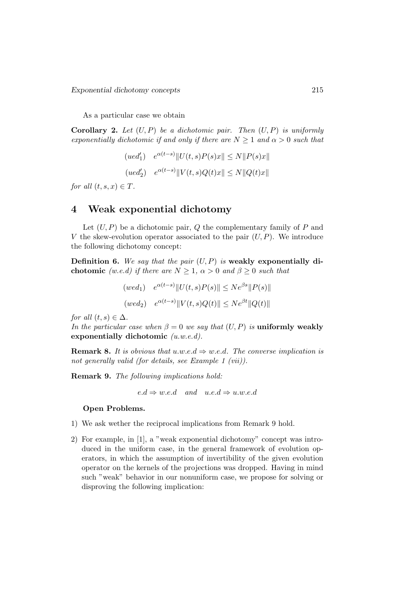As a particular case we obtain

**Corollary 2.** Let  $(U, P)$  be a dichotomic pair. Then  $(U, P)$  is uniformly exponentially dichotomic if and only if there are  $N \geq 1$  and  $\alpha > 0$  such that

$$
(ued'_1) \quad e^{\alpha(t-s)} \|U(t,s)P(s)x\| \le N \|P(s)x\|
$$
  

$$
(ued'_2) \quad e^{\alpha(t-s)} \|V(t,s)Q(t)x\| \le N \|Q(t)x\|
$$

for all  $(t, s, x) \in T$ .

# 4 Weak exponential dichotomy

Let  $(U, P)$  be a dichotomic pair,  $Q$  the complementary family of  $P$  and V the skew-evolution operator associated to the pair  $(U, P)$ . We introduce the following dichotomy concept:

**Definition 6.** We say that the pair  $(U, P)$  is weakly exponentially dichotomic (w.e.d) if there are  $N \geq 1$ ,  $\alpha > 0$  and  $\beta \geq 0$  such that

$$
(wed_1) \quad e^{\alpha(t-s)} \|U(t,s)P(s)\| \le N e^{\beta s} \|P(s)\|
$$
  

$$
(wed_2) \quad e^{\alpha(t-s)} \|V(t,s)Q(t)\| \le N e^{\beta t} \|Q(t)\|
$$

for all  $(t, s) \in \Delta$ .

In the particular case when  $\beta = 0$  we say that  $(U, P)$  is uniformly weakly exponentially dichotomic  $(u.w.e.d)$ .

**Remark 8.** It is obvious that u.w.e.d  $\Rightarrow$  w.e.d. The converse implication is not generally valid (for details, see Example 1 (vii)).

Remark 9. The following implications hold:

 $e.d \Rightarrow w.e.d$  and  $u.e.d \Rightarrow u.w.e.d$ 

#### Open Problems.

- 1) We ask wether the reciprocal implications from Remark 9 hold.
- 2) For example, in [1], a "weak exponential dichotomy" concept was introduced in the uniform case, in the general framework of evolution operators, in which the assumption of invertibility of the given evolution operator on the kernels of the projections was dropped. Having in mind such "weak" behavior in our nonuniform case, we propose for solving or disproving the following implication: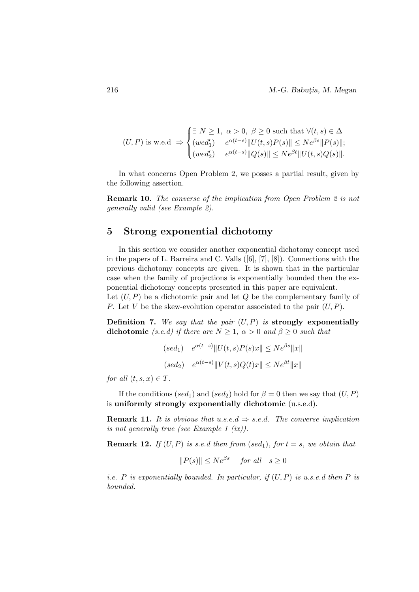$$
(U, P) \text{ is w.e.d } \Rightarrow \begin{cases} \exists \ N \ge 1, \ \alpha > 0, \ \beta \ge 0 \text{ such that } \forall (t, s) \in \Delta \\ (wed'_1) \quad e^{\alpha(t-s)} \| U(t, s) P(s) \| \le N e^{\beta s} \| P(s) \|; \\ (wed'_2) \quad e^{\alpha(t-s)} \| Q(s) \| \le N e^{\beta t} \| U(t, s) Q(s) \|. \end{cases}
$$

In what concerns Open Problem 2, we posses a partial result, given by the following assertion.

Remark 10. The converse of the implication from Open Problem 2 is not generally valid (see Example 2).

# 5 Strong exponential dichotomy

In this section we consider another exponential dichotomy concept used in the papers of L. Barreira and C. Valls ([6], [7], [8]). Connections with the previous dichotomy concepts are given. It is shown that in the particular case when the family of projections is exponentially bounded then the exponential dichotomy concepts presented in this paper are equivalent. Let  $(U, P)$  be a dichotomic pair and let  $Q$  be the complementary family of P. Let V be the skew-evolution operator associated to the pair  $(U, P)$ .

**Definition 7.** We say that the pair  $(U, P)$  is strongly exponentially dichotomic (s.e.d) if there are  $N \geq 1$ ,  $\alpha > 0$  and  $\beta \geq 0$  such that

$$
(sed1) \t e\alpha(t-s) ||U(t, s)P(s)x|| \leq Ne\beta s ||x||
$$
  

$$
(sed2) \t e\alpha(t-s) ||V(t, s)Q(t)x|| \leq Ne\beta t ||x||
$$

for all  $(t, s, x) \in T$ .

If the conditions (sed<sub>1</sub>) and (sed<sub>2</sub>) hold for  $\beta = 0$  then we say that  $(U, P)$ is uniformly strongly exponentially dichotomic (u.s.e.d).

**Remark 11.** It is obvious that u.s.e.d  $\Rightarrow$  s.e.d. The converse implication is not generally true (see Example 1 (ix)).

**Remark 12.** If  $(U, P)$  is s.e.d then from  $(sed_1)$ , for  $t = s$ , we obtain that

$$
||P(s)|| \le Ne^{\beta s}
$$
 for all  $s \ge 0$ 

*i.e.* P is exponentially bounded. In particular, if  $(U, P)$  is u.s.e.d then P is bounded.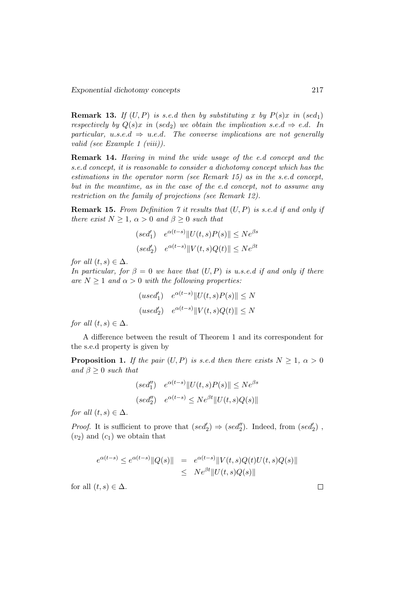**Remark 13.** If  $(U, P)$  is s.e.d then by substituting x by  $P(s)x$  in (sed<sub>1</sub>) respectively by  $Q(s)x$  in (sed<sub>2</sub>) we obtain the implication s.e.d  $\Rightarrow$  e.d. In particular, u.s.e.d  $\Rightarrow$  u.e.d. The converse implications are not generally valid (see Example 1 (viii)).

Remark 14. Having in mind the wide usage of the e.d concept and the s.e.d concept, it is reasonable to consider a dichotomy concept which has the estimations in the operator norm (see Remark 15) as in the s.e.d concept, but in the meantime, as in the case of the e.d concept, not to assume any restriction on the family of projections (see Remark 12).

**Remark 15.** From Definition 7 it results that  $(U, P)$  is s.e.d if and only if there exist  $N \geq 1$ ,  $\alpha > 0$  and  $\beta \geq 0$  such that

$$
(sed'_1) \quad e^{\alpha(t-s)} ||U(t,s)P(s)|| \le Ne^{\beta s}
$$

$$
(sed'_2) \quad e^{\alpha(t-s)} ||V(t,s)Q(t)|| \le Ne^{\beta t}
$$

for all  $(t, s) \in \Delta$ .

In particular, for  $\beta = 0$  we have that  $(U, P)$  is u.s.e.d if and only if there are  $N > 1$  and  $\alpha > 0$  with the following properties:

$$
(used'_1) \quad e^{\alpha(t-s)} \|U(t,s)P(s)\| \le N
$$

$$
(used'_2) \quad e^{\alpha(t-s)} \|V(t,s)Q(t)\| \le N
$$

for all  $(t, s) \in \Delta$ .

A difference between the result of Theorem 1 and its correspondent for the s.e.d property is given by

**Proposition 1.** If the pair  $(U, P)$  is s.e.d then there exists  $N \geq 1$ ,  $\alpha > 0$ and  $\beta \geq 0$  such that

$$
(sed_1'') \quad e^{\alpha(t-s)} ||U(t,s)P(s)|| \le Ne^{\beta s}
$$
  

$$
(sed_2'') \quad e^{\alpha(t-s)} \le Ne^{\beta t} ||U(t,s)Q(s)||
$$

for all  $(t, s) \in \Delta$ .

*Proof.* It is sufficient to prove that  $(sed'_2) \Rightarrow (sed'_2)$ . Indeed, from  $(sed'_2)$ ,  $(v_2)$  and  $(c_1)$  we obtain that

$$
e^{\alpha(t-s)} \le e^{\alpha(t-s)} \|Q(s)\| = e^{\alpha(t-s)} \|V(t,s)Q(t)U(t,s)Q(s)\|
$$
  

$$
\le N e^{\beta t} \|U(t,s)Q(s)\|
$$

for all  $(t, s) \in \Delta$ .

 $\Box$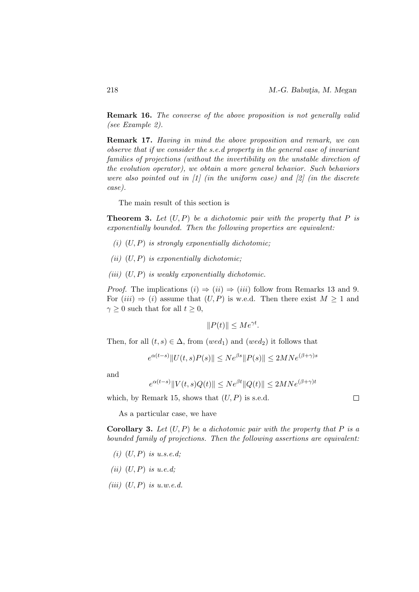$\Box$ 

Remark 16. The converse of the above proposition is not generally valid (see Example 2).

Remark 17. Having in mind the above proposition and remark, we can observe that if we consider the s.e.d property in the general case of invariant families of projections (without the invertibility on the unstable direction of the evolution operator), we obtain a more general behavior. Such behaviors were also pointed out in  $\begin{bmatrix} 1 \end{bmatrix}$  (in the uniform case) and  $\begin{bmatrix} 2 \end{bmatrix}$  (in the discrete case).

The main result of this section is

**Theorem 3.** Let  $(U, P)$  be a dichotomic pair with the property that P is exponentially bounded. Then the following properties are equivalent:

- (i)  $(U, P)$  is strongly exponentially dichotomic;
- (ii)  $(U, P)$  is exponentially dichotomic:
- (iii)  $(U, P)$  is weakly exponentially dichotomic.

*Proof.* The implications  $(i) \Rightarrow (ii) \Rightarrow (iii)$  follow from Remarks 13 and 9. For  $(iii) \Rightarrow (i)$  assume that  $(U, P)$  is w.e.d. Then there exist  $M \geq 1$  and  $\gamma \geq 0$  such that for all  $t \geq 0$ ,

$$
||P(t)|| \le Me^{\gamma t}.
$$

Then, for all  $(t, s) \in \Delta$ , from  $(wed_1)$  and  $(wed_2)$  it follows that

$$
e^{\alpha(t-s)}\|U(t,s)P(s)\| \le Ne^{\beta s} \|P(s)\| \le 2MNe^{(\beta+\gamma)s}
$$

and

$$
e^{\alpha(t-s)}\|V(t,s)Q(t)\| \le Ne^{\beta t} \|Q(t)\| \le 2MN e^{(\beta+\gamma)t}
$$

which, by Remark 15, shows that  $(U, P)$  is s.e.d.

As a particular case, we have

**Corollary 3.** Let  $(U, P)$  be a dichotomic pair with the property that P is a bounded family of projections. Then the following assertions are equivalent:

- $(i)$   $(U, P)$  is u.s.e.d;
- (ii)  $(U, P)$  is u.e.d;
- (iii)  $(U, P)$  is u.w.e.d.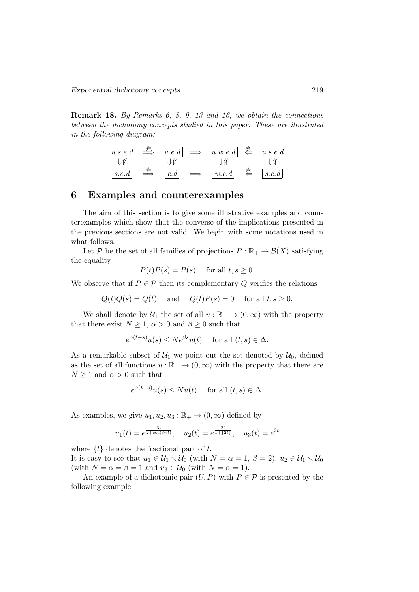Remark 18. By Remarks 6, 8, 9, 13 and 16, we obtain the connections between the dichotomy concepts studied in this paper. These are illustrated in the following diagram:

| $u.s.e.d$                      | $\stackrel{\neq}{\Longrightarrow}$ | $u.e.d$                        | $\Longrightarrow$              | $u.w.e.d$ | $\stackrel{\neq}{\Longrightarrow}$ | $u.s.e.d$ |
|--------------------------------|------------------------------------|--------------------------------|--------------------------------|-----------|------------------------------------|-----------|
| $\downarrow \uparrow \uparrow$ | $\downarrow \uparrow \uparrow$     | $\downarrow \uparrow \uparrow$ | $\downarrow \uparrow \uparrow$ |           |                                    |           |
| $s.e.d$                        | $\stackrel{\neq}{\Longrightarrow}$ | $[e.d]$                        | $\Longrightarrow$              | $[w.e.d]$ | $\stackrel{\neq}{\Leftarrow}$      | $s.e.d$   |

### 6 Examples and counterexamples

The aim of this section is to give some illustrative examples and counterexamples which show that the converse of the implications presented in the previous sections are not valid. We begin with some notations used in what follows.

Let P be the set of all families of projections  $P : \mathbb{R}_+ \to \mathcal{B}(X)$  satisfying the equality

$$
P(t)P(s) = P(s) \quad \text{ for all } t, s \ge 0.
$$

We observe that if  $P \in \mathcal{P}$  then its complementary Q verifies the relations

 $Q(t)Q(s) = Q(t)$  and  $Q(t)P(s) = 0$  for all  $t, s \geq 0$ .

We shall denote by  $\mathcal{U}_1$  the set of all  $u : \mathbb{R}_+ \to (0, \infty)$  with the property that there exist  $N \geq 1$ ,  $\alpha > 0$  and  $\beta \geq 0$  such that

$$
e^{\alpha(t-s)}u(s) \le Ne^{\beta s}u(t) \quad \text{ for all } (t,s) \in \Delta.
$$

As a remarkable subset of  $\mathcal{U}_1$  we point out the set denoted by  $\mathcal{U}_0$ , defined as the set of all functions  $u : \mathbb{R}_+ \to (0, \infty)$  with the property that there are  $N \geq 1$  and  $\alpha > 0$  such that

$$
e^{\alpha(t-s)}u(s) \le Nu(t) \quad \text{ for all } (t,s) \in \Delta.
$$

As examples, we give  $u_1, u_2, u_3 : \mathbb{R}_+ \to (0, \infty)$  defined by

$$
u_1(t) = e^{\frac{3t}{2 + \cos(3\pi t)}}, \quad u_2(t) = e^{\frac{2t}{1 + \{2t\}}}, \quad u_3(t) = e^{2t}
$$

where  $\{t\}$  denotes the fractional part of t.

It is easy to see that  $u_1 \in \mathcal{U}_1 \setminus \mathcal{U}_0$  (with  $N = \alpha = 1, \beta = 2$ ),  $u_2 \in \mathcal{U}_1 \setminus \mathcal{U}_0$ (with  $N = \alpha = \beta = 1$  and  $u_3 \in \mathcal{U}_0$  (with  $N = \alpha = 1$ ).

An example of a dichotomic pair  $(U, P)$  with  $P \in \mathcal{P}$  is presented by the following example.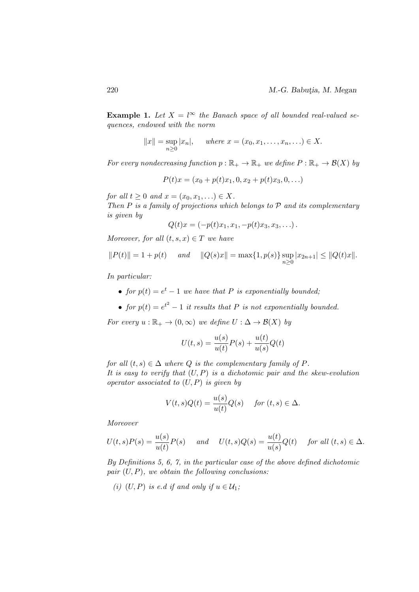Example 1. Let  $X = l^{\infty}$  the Banach space of all bounded real-valued sequences, endowed with the norm

$$
||x|| = \sup_{n\geq 0} |x_n|
$$
, where  $x = (x_0, x_1, ..., x_n, ...)\in X$ .

For every nondecreasing function  $p : \mathbb{R}_+ \to \mathbb{R}_+$  we define  $P : \mathbb{R}_+ \to \mathcal{B}(X)$  by

$$
P(t)x = (x_0 + p(t)x_1, 0, x_2 + p(t)x_3, 0, \ldots)
$$

for all  $t \geq 0$  and  $x = (x_0, x_1, \ldots) \in X$ . Then  $P$  is a family of projections which belongs to  $P$  and its complementary is given by

$$
Q(t)x = (-p(t)x_1, x_1, -p(t)x_3, x_3, \ldots).
$$

Moreover, for all  $(t, s, x) \in T$  we have

$$
||P(t)|| = 1 + p(t)
$$
 and  $||Q(s)x|| = \max\{1, p(s)\}\sup_{n\geq 0} |x_{2n+1}| \leq ||Q(t)x||$ .

In particular:

- for  $p(t) = e^t 1$  we have that P is exponentially bounded;
- for  $p(t) = e^{t^2} 1$  it results that P is not exponentially bounded.

For every  $u : \mathbb{R}_+ \to (0, \infty)$  we define  $U : \Delta \to \mathcal{B}(X)$  by

$$
U(t,s) = \frac{u(s)}{u(t)}P(s) + \frac{u(t)}{u(s)}Q(t)
$$

for all  $(t, s) \in \Delta$  where Q is the complementary family of P. It is easy to verify that  $(U, P)$  is a dichotomic pair and the skew-evolution operator associated to  $(U, P)$  is given by

$$
V(t,s)Q(t) = \frac{u(s)}{u(t)}Q(s) \quad \text{ for } (t,s) \in \Delta.
$$

Moreover

$$
U(t,s)P(s) = \frac{u(s)}{u(t)}P(s) \quad \text{and} \quad U(t,s)Q(s) = \frac{u(t)}{u(s)}Q(t) \quad \text{for all } (t,s) \in \Delta.
$$

By Definitions 5, 6, 7, in the particular case of the above defined dichotomic pair  $(U, P)$ , we obtain the following conclusions:

(i)  $(U, P)$  is e.d if and only if  $u \in U_1$ ;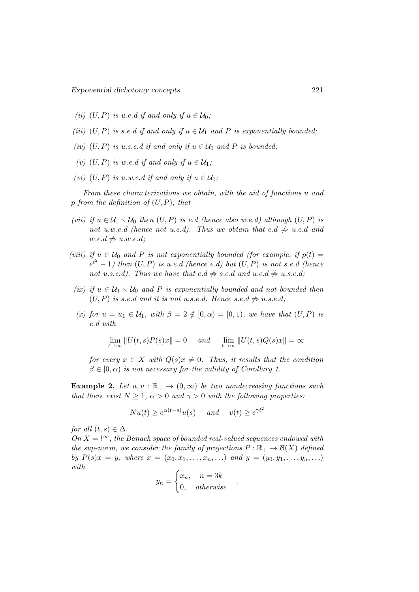- (ii) (U, P) is u.e.d if and only if  $u \in U_0$ ;
- (iii)  $(U, P)$  is s.e.d if and only if  $u \in \mathcal{U}_1$  and P is exponentially bounded;
- (iv)  $(U, P)$  is u.s.e.d if and only if  $u \in \mathcal{U}_0$  and P is bounded;
- (v) (U, P) is w.e.d if and only if  $u \in \mathcal{U}_1$ ;
- (vi)  $(U, P)$  is u.w.e.d if and only if  $u \in U_0$ ;

From these characterizations we obtain, with the aid of functions u and p from the definition of  $(U, P)$ , that

- (vii) if  $u \in U_1 \setminus U_0$  then  $(U, P)$  is e.d (hence also w.e.d) although  $(U, P)$  is not u.w.e.d (hence not u.e.d). Thus we obtain that e.d  $\Rightarrow$  u.e.d and  $w.e.d \neq u.w.e.d;$
- (viii) if  $u \in \mathcal{U}_0$  and P is not exponentially bounded (for example, if  $p(t) =$  $e^{t^2}-1$ ) then  $(U, P)$  is u.e.d (hence e.d) but  $(U, P)$  is not s.e.d (hence not u.s.e.d). Thus we have that  $e.d \neq s.e.d$  and  $u.e.d \neq u.s.e.d;$
- (ix) if  $u \in \mathcal{U}_1 \setminus \mathcal{U}_0$  and P is exponentially bounded and not bounded then  $(U, P)$  is s.e.d and it is not u.s.e.d. Hence s.e.d  $\neq u$ .s.e.d;
- (x) for  $u = u_1 \in \mathcal{U}_1$ , with  $\beta = 2 \notin [0, \alpha) = [0, 1)$ , we have that  $(U, P)$  is e.d with

$$
\lim_{t \to \infty} ||U(t,s)P(s)x|| = 0 \quad \text{and} \quad \lim_{t \to \infty} ||U(t,s)Q(s)x|| = \infty
$$

for every  $x \in X$  with  $Q(s)x \neq 0$ . Thus, it results that the condition  $\beta \in [0, \alpha)$  is not necessary for the validity of Corollary 1.

**Example 2.** Let  $u, v : \mathbb{R}_+ \to (0, \infty)$  be two nondecreasing functions such that there exist  $N \geq 1$ ,  $\alpha > 0$  and  $\gamma > 0$  with the following properties:

$$
Nu(t) \geq e^{\alpha(t-s)}u(s)
$$
 and  $v(t) \geq e^{\gamma t^2}$ 

for all  $(t, s) \in \Delta$ .

On  $X = l^{\infty}$ , the Banach space of bounded real-valued sequences endowed with the sup-norm, we consider the family of projections  $P : \mathbb{R}_+ \to \mathcal{B}(X)$  defined by  $P(s)x = y$ , where  $x = (x_0, x_1, \ldots, x_n, \ldots)$  and  $y = (y_0, y_1, \ldots, y_n, \ldots)$ with

$$
y_n = \begin{cases} x_n, & n = 3k \\ 0, & otherwise \end{cases}
$$

.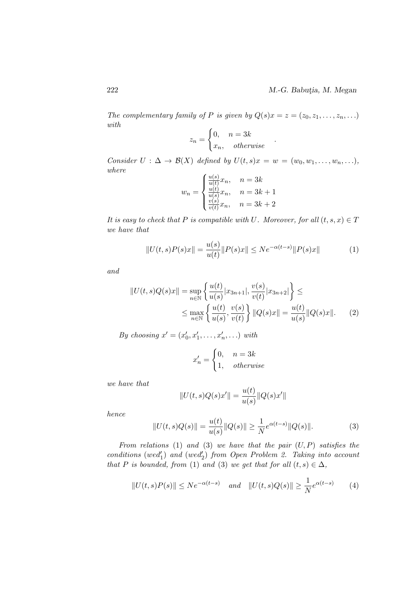The complementary family of P is given by  $Q(s)x = z = (z_0, z_1, \ldots, z_n, \ldots)$ with

$$
z_n = \begin{cases} 0, & n = 3k \\ x_n, & otherwise \end{cases}
$$

Consider  $U : \Delta \to \mathcal{B}(X)$  defined by  $U(t, s)x = w = (w_0, w_1, \ldots, w_n, \ldots),$ where

$$
w_n = \begin{cases} \frac{u(s)}{u(t)} x_n, & n = 3k\\ \frac{u(t)}{u(s)} x_n, & n = 3k + 1\\ \frac{v(s)}{v(t)} x_n, & n = 3k + 2 \end{cases}
$$

It is easy to check that P is compatible with U. Moreover, for all  $(t, s, x) \in T$ we have that

$$
||U(t,s)P(s)x|| = \frac{u(s)}{u(t)}||P(s)x|| \le Ne^{-\alpha(t-s)}||P(s)x|| \tag{1}
$$

.

and

$$
||U(t,s)Q(s)x|| = \sup_{n \in \mathbb{N}} \left\{ \frac{u(t)}{u(s)} |x_{3n+1}|, \frac{v(s)}{v(t)} |x_{3n+2}| \right\} \le
$$
  
 
$$
\leq \max_{n \in \mathbb{N}} \left\{ \frac{u(t)}{u(s)}, \frac{v(s)}{v(t)} \right\} ||Q(s)x|| = \frac{u(t)}{u(s)} ||Q(s)x||. \tag{2}
$$

By choosing  $x' = (x'_0, x'_1, \ldots, x'_n, \ldots)$  with

$$
x'_n = \begin{cases} 0, & n = 3k \\ 1, & otherwise \end{cases}
$$

we have that

$$
||U(t,s)Q(s)x'|| = \frac{u(t)}{u(s)}||Q(s)x'||
$$

hence

$$
||U(t,s)Q(s)|| = \frac{u(t)}{u(s)}||Q(s)|| \ge \frac{1}{N}e^{\alpha(t-s)}||Q(s)||.
$$
 (3)

From relations (1) and (3) we have that the pair  $(U, P)$  satisfies the  $conditions (wed'_1)$  and  $(wed'_2)$  from Open Problem 2. Taking into account that P is bounded, from (1) and (3) we get that for all  $(t, s) \in \Delta$ ,

$$
||U(t,s)P(s)|| \le Ne^{-\alpha(t-s)} \quad \text{and} \quad ||U(t,s)Q(s)|| \ge \frac{1}{N}e^{\alpha(t-s)} \tag{4}
$$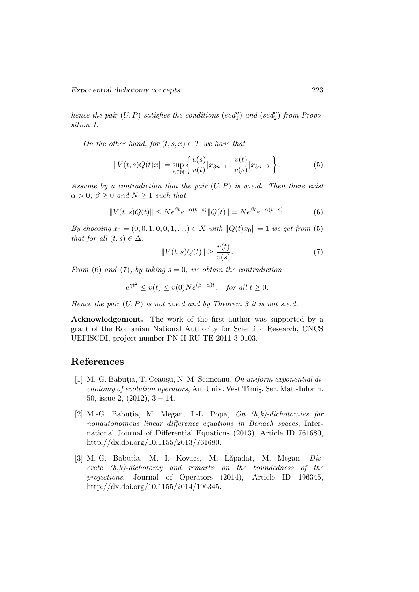hence the pair  $(U, P)$  satisfies the conditions (sed<sup>"</sup>) and (sed<sup>"</sup>) from Proposition 1.

On the other hand, for  $(t, s, x) \in T$  we have that

$$
||V(t,s)Q(t)x|| = \sup_{n \in \mathbb{N}} \left\{ \frac{u(s)}{u(t)} |x_{3n+1}|, \frac{v(t)}{v(s)} |x_{3n+2}| \right\}.
$$
 (5)

Assume by a contradiction that the pair  $(U, P)$  is w.e.d. Then there exist  $\alpha > 0, \beta \geq 0$  and  $N \geq 1$  such that

$$
||V(t,s)Q(t)|| \le N e^{\beta t} e^{-\alpha(t-s)} ||Q(t)|| = N e^{\beta t} e^{-\alpha(t-s)}.
$$
 (6)

By choosing  $x_0 = (0, 0, 1, 0, 0, 1, ...) \in X$  with  $||Q(t)x_0|| = 1$  we get from (5) that for all  $(t, s) \in \Delta$ ,

$$
||V(t,s)Q(t)|| \ge \frac{v(t)}{v(s)}.\tag{7}
$$

From (6) and (7), by taking  $s = 0$ , we obtain the contradiction

$$
e^{\gamma t^2} \le v(t) \le v(0)Ne^{(\beta - \alpha)t}, \quad \text{for all } t \ge 0.
$$

Hence the pair  $(U, P)$  is not w.e.d and by Theorem 3 it is not s.e.d.

Acknowledgement. The work of the first author was supported by a grant of the Romanian National Authority for Scientific Research, CNCS UEFISCDI, project number PN-II-RU-TE-2011-3-0103.

## References

- [1] M.-G. Babutia, T. Ceauşu, N. M. Seimeanu, On uniform exponential dichotomy of evolution operators, An. Univ. Vest Timiş. Ser. Mat.-Inform. 50, issue 2,  $(2012)$ ,  $3 - 14$ .
- [2] M.-G. Babutia, M. Megan, I.-L. Popa,  $On (h,k)$ -dichotomies for nonautonomous linear difference equations in Banach spaces, International Journal of Differential Equations (2013), Article ID 761680, http://dx.doi.org/10.1155/2013/761680.
- [3] M.-G. Babutia, M. I. Kovacs, M. Lăpadat, M. Megan, Dis $crete(h,k)-dichotomy$  and remarks on the boundedness of the projections, Journal of Operators (2014), Article ID 196345, http://dx.doi.org/10.1155/2014/196345.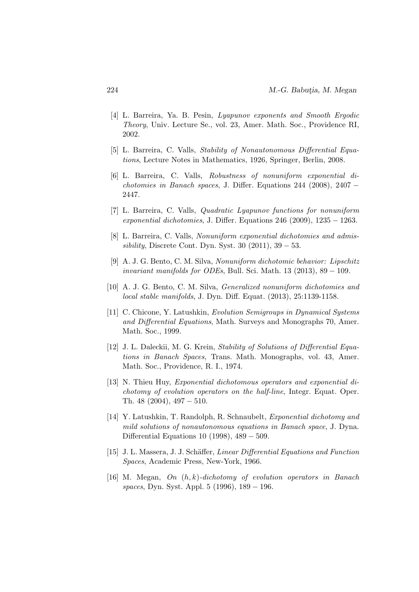- [4] L. Barreira, Ya. B. Pesin, Lyapunov exponents and Smooth Ergodic Theory, Univ. Lecture Se., vol. 23, Amer. Math. Soc., Providence RI, 2002.
- [5] L. Barreira, C. Valls, Stability of Nonautonomous Differential Equations, Lecture Notes in Mathematics, 1926, Springer, Berlin, 2008.
- [6] L. Barreira, C. Valls, Robustness of nonuniform exponential dichotomies in Banach spaces, J. Differ. Equations 244 (2008), 2407 − 2447.
- [7] L. Barreira, C. Valls, Quadratic Lyapunov functions for nonuniform exponential dichotomies, J. Differ. Equations  $246$  (2009),  $1235 - 1263$ .
- [8] L. Barreira, C. Valls, Nonuniform exponential dichotomies and admissibility, Discrete Cont. Dyn. Syst. 30  $(2011)$ , 39 – 53.
- [9] A. J. G. Bento, C. M. Silva, Nonuniform dichotomic behavior: Lipschitz invariant manifolds for ODEs, Bull. Sci. Math. 13  $(2013)$ , 89 – 109.
- [10] A. J. G. Bento, C. M. Silva, Generalized nonuniform dichotomies and local stable manifolds, J. Dyn. Diff. Equat. (2013), 25:1139-1158.
- [11] C. Chicone, Y. Latushkin, Evolution Semigroups in Dynamical Systems and Differential Equations, Math. Surveys and Monographs 70, Amer. Math. Soc., 1999.
- [12] J. L. Daleckii, M. G. Krein, Stability of Solutions of Differential Equations in Banach Spaces, Trans. Math. Monographs, vol. 43, Amer. Math. Soc., Providence, R. I., 1974.
- [13] N. Thieu Huy, Exponential dichotomous operators and exponential dichotomy of evolution operators on the half-line, Integr. Equat. Oper. Th. 48 (2004), 497 − 510.
- [14] Y. Latushkin, T. Randolph, R. Schnaubelt, Exponential dichotomy and mild solutions of nonautonomous equations in Banach space, J. Dyna. Differential Equations 10 (1998), 489 − 509.
- [15] J. L. Massera, J. J. Schäffer, *Linear Differential Equations and Function* Spaces, Academic Press, New-York, 1966.
- [16] M. Megan, On  $(h, k)$ -dichotomy of evolution operators in Banach spaces, Dyn. Syst. Appl. 5 (1996), 189 − 196.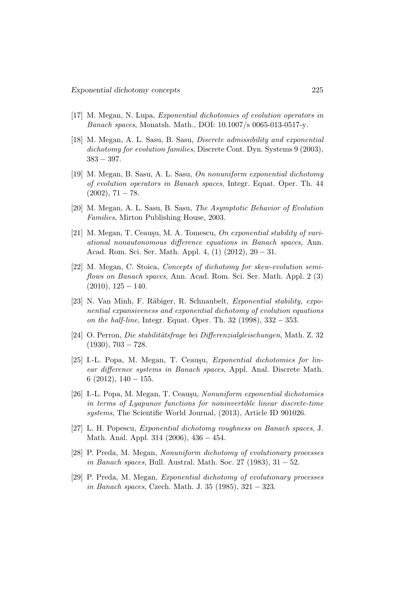- [17] M. Megan, N. Lupa, Exponential dichotomies of evolution operators in Banach spaces, Monatsh. Math., DOI: 10.1007/s 0065-013-0517-y.
- [18] M. Megan, A. L. Sasu, B. Sasu, Discrete admissibility and exponential dichotomy for evolution families, Discrete Cont. Dyn. Systems 9 (2003), 383 − 397.
- [19] M. Megan, B. Sasu, A. L. Sasu, On nonuniform exponential dichotomy of evolution operators in Banach spaces, Integr. Equat. Oper. Th. 44  $(2002), 71 - 78.$
- [20] M. Megan, A. L. Sasu, B. Sasu, The Asymptotic Behavior of Evolution Families, Mirton Publishing House, 2003.
- [21] M. Megan, T. Ceausu, M. A. Tomescu, On exponential stability of variational nonautonomous difference equations in Banach spaces, Ann. Acad. Rom. Sci. Ser. Math. Appl. 4, (1) (2012), 20 − 31.
- [22] M. Megan, C. Stoica, Concepts of dichotomy for skew-evolution semiflows on Banach spaces, Ann. Acad. Rom. Sci. Ser. Math. Appl. 2 (3)  $(2010), 125 - 140.$
- [23] N. Van Minh, F. Räbiger, R. Schnaubelt, Exponential stability, exponential expansiveness and exponential dichotomy of evolution equations on the half-line, Integr. Equat. Oper. Th. 32 (1998), 332 − 353.
- [24] O. Perron, *Die stabilitätsfrage bei Differenzialgleischungen*, Math. Z. 32  $(1930), 703 - 728.$
- [25] I.-L. Popa, M. Megan, T. Ceauşu, Exponential dichotomies for linear difference systems in Banach spaces, Appl. Anal. Discrete Math. 6  $(2012)$ ,  $140 - 155$ .
- [26] I.-L. Popa, M. Megan, T. Ceauşu, Nonuniform exponential dichotomies in terms of Lyapunov functions for noninvertible linear discrete-time systems, The Scientific World Journal, (2013), Article ID 901026.
- [27] L. H. Popescu, Exponential dichotomy roughness on Banach spaces, J. Math. Anal. Appl. 314 (2006), 436 − 454.
- [28] P. Preda, M. Megan, Nonuniform dichotomy of evolutionary processes in Banach spaces, Bull. Austral. Math. Soc. 27 (1983), 31 − 52.
- [29] P. Preda, M. Megan, Exponential dichotomy of evolutionary processes in Banach spaces, Czech. Math. J. 35 (1985), 321 − 323.